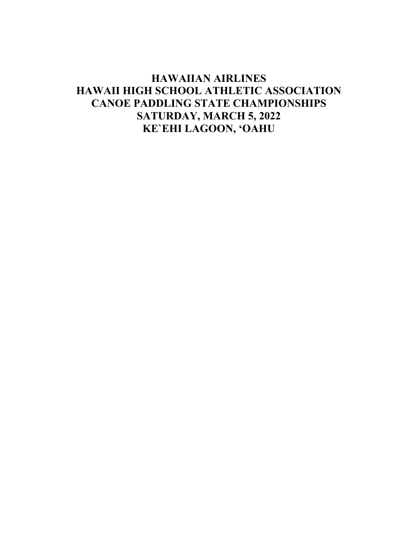# **HAWAIIAN AIRLINES HAWAII HIGH SCHOOL ATHLETIC ASSOCIATION CANOE PADDLING STATE CHAMPIONSHIPS SATURDAY, MARCH 5, 2022** KE'EHI LAGOON, 'OAHU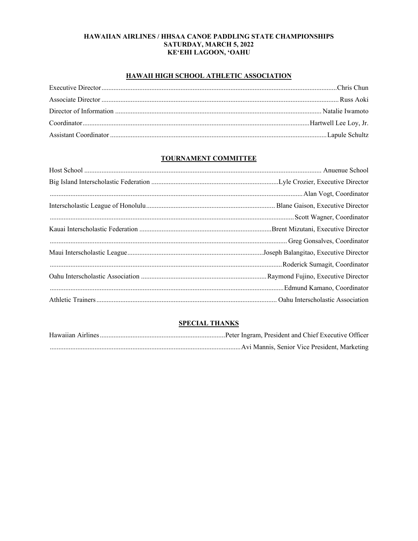# HAWAIIAN AIRLINES / HHSAA CANOE PADDLING STATE CHAMPIONSHIPS **SATURDAY, MARCH 5, 2022** KE'EHI LAGOON, 'OAHU

# HAWAII HIGH SCHOOL ATHLETIC ASSOCIATION

# **TOURNAMENT COMMITTEE**

# **SPECIAL THANKS**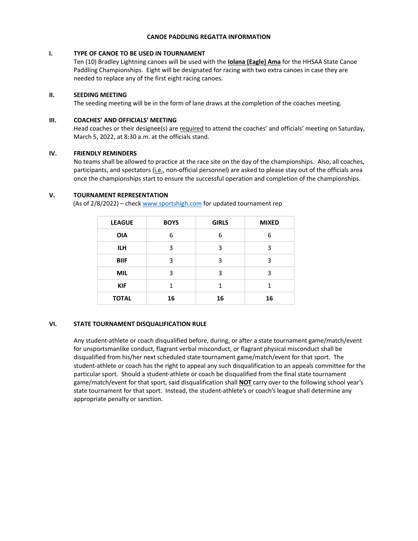#### **CANOE PADDLING REGATTA INFORMATION**

# **I. TYPE OF CANOE TO BE USED IN TOURNAMENT**

Ten (10) Bradley Lightning canoes will be used with the **Iolana (Eagle) Ama** for the HHSAA State Canoe Paddling Championships. Eight will be designated for racing with two extra canoes in case they are needed to replace any of the first eight racing canoes.

# **II. SEEDING MEETING**

The seeding meeting will be in the form of lane draws at the completion of the coaches meeting.

# **III. COACHES' AND OFFICIALS' MEETING**

Head coaches or their designee(s) are required to attend the coaches' and officials' meeting on Saturday, March 5, 2022, at 8:30 a.m. at the officials stand.

### **IV. FRIENDLY REMINDERS**

No teams shall be allowed to practice at the race site on the day of the championships. Also, all coaches, participants, and spectators (i.e., non‐official personnel) are asked to please stay out of the officials area once the championships start to ensure the successful operation and completion of the championships.

# **V. TOURNAMENT REPRESENTATION**

(As of 2/8/2022) – check www.sportshigh.com for updated tournament rep

| <b>LEAGUE</b> | <b>BOYS</b> | <b>GIRLS</b> | <b>MIXED</b> |  |  |
|---------------|-------------|--------------|--------------|--|--|
| <b>OIA</b>    | 6           | 6            | 6            |  |  |
| <b>ILH</b>    | 3           | 3            | 3            |  |  |
| <b>BIIF</b>   | 3           | 3            | 3            |  |  |
| <b>MIL</b>    | 3           | 3            | 3            |  |  |
| <b>KIF</b>    | 1           | 1            | 1            |  |  |
| <b>TOTAL</b>  | 16          | 16           | 16           |  |  |

# **VI. STATE TOURNAMENT DISQUALIFICATION RULE**

Any student‐athlete or coach disqualified before, during, or after a state tournament game/match/event for unsportsmanlike conduct, flagrant verbal misconduct, or flagrant physical misconduct shall be disqualified from his/her next scheduled state tournament game/match/event for that sport. The student‐athlete or coach has the right to appeal any such disqualification to an appeals committee for the particular sport. Should a student-athlete or coach be disqualified from the final state tournament game/match/event for that sport, said disqualification shall **NOT** carry over to the following school year's state tournament for that sport. Instead, the student‐athlete's or coach's league shall determine any appropriate penalty or sanction.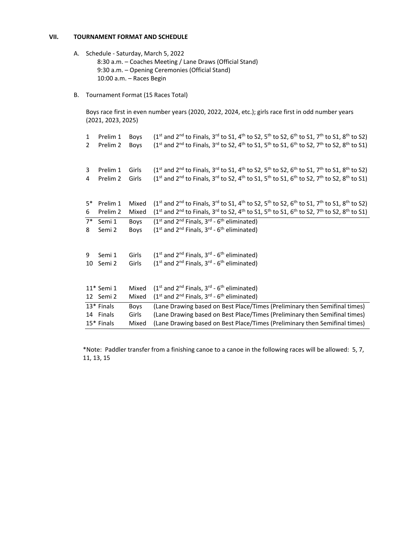#### **VII. TOURNAMENT FORMAT AND SCHEDULE**

- A. Schedule ‐ Saturday, March 5, 2022 8:30 a.m. – Coaches Meeting / Lane Draws (Official Stand) 9:30 a.m. – Opening Ceremonies (Official Stand) 10:00 a.m. – Races Begin
- B. Tournament Format (15 Races Total)

Boys race first in even number years (2020, 2022, 2024, etc.); girls race first in odd number years (2021, 2023, 2025)

| $\mathbf{1}$ | Prelim 1   | Boys        | $(1^{st}$ and $2^{nd}$ to Finals, 3 <sup>rd</sup> to S1, 4 <sup>th</sup> to S2, 5 <sup>th</sup> to S2, 6 <sup>th</sup> to S1, 7 <sup>th</sup> to S1, 8 <sup>th</sup> to S2)        |
|--------------|------------|-------------|------------------------------------------------------------------------------------------------------------------------------------------------------------------------------------|
| 2            | Prelim 2   | <b>Boys</b> | $(1^{st}$ and $2^{nd}$ to Finals, 3 <sup>rd</sup> to S2, 4 <sup>th</sup> to S1, 5 <sup>th</sup> to S1, 6 <sup>th</sup> to S2, 7 <sup>th</sup> to S2, 8 <sup>th</sup> to S1)        |
|              |            |             |                                                                                                                                                                                    |
|              |            |             |                                                                                                                                                                                    |
| 3            | Prelim 1   | Girls       | $(1^{st}$ and $2^{nd}$ to Finals, 3 <sup>rd</sup> to S1, 4 <sup>th</sup> to S2, 5 <sup>th</sup> to S2, 6 <sup>th</sup> to S1, 7 <sup>th</sup> to S1, 8 <sup>th</sup> to S2)        |
| 4            | Prelim 2   | Girls       | $(1^{st}$ and $2^{nd}$ to Finals, 3 <sup>rd</sup> to S2, 4 <sup>th</sup> to S1, 5 <sup>th</sup> to S1, 6 <sup>th</sup> to S2, 7 <sup>th</sup> to S2, 8 <sup>th</sup> to S1)        |
|              |            |             |                                                                                                                                                                                    |
|              |            |             |                                                                                                                                                                                    |
| $5*$         | Prelim 1   | Mixed       | $(1^{st}$ and 2 <sup>nd</sup> to Finals, 3 <sup>rd</sup> to S1, 4 <sup>th</sup> to S2, 5 <sup>th</sup> to S2, 6 <sup>th</sup> to S1, 7 <sup>th</sup> to S1, 8 <sup>th</sup> to S2) |
| 6            | Prelim 2   | Mixed       | $(1^{st}$ and 2 <sup>nd</sup> to Finals, 3 <sup>rd</sup> to S2, 4 <sup>th</sup> to S1, 5 <sup>th</sup> to S1, 6 <sup>th</sup> to S2, 7 <sup>th</sup> to S2, 8 <sup>th</sup> to S1) |
| $7^*$        | Semi 1     | Boys        | $(1st$ and $2nd$ Finals, $3rd$ - 6 <sup>th</sup> eliminated)                                                                                                                       |
| 8            | Semi 2     | Boys        | $(1st$ and $2nd$ Finals, $3rd$ - 6 <sup>th</sup> eliminated)                                                                                                                       |
|              |            |             |                                                                                                                                                                                    |
|              |            |             |                                                                                                                                                                                    |
| 9            | Semi 1     | Girls       | $(1st$ and $2nd$ Finals, $3rd$ - 6 <sup>th</sup> eliminated)                                                                                                                       |
|              | 10 Semi 2  | Girls       | $(1st$ and $2nd$ Finals, $3rd$ - 6 <sup>th</sup> eliminated)                                                                                                                       |
|              |            |             |                                                                                                                                                                                    |
|              |            |             |                                                                                                                                                                                    |
|              | 11* Semi 1 | Mixed       | (1 <sup>st</sup> and 2 <sup>nd</sup> Finals, 3 <sup>rd</sup> - 6 <sup>th</sup> eliminated)                                                                                         |
|              | 12 Semi 2  | Mixed       | $(1st$ and $2nd$ Finals, $3rd$ - 6 <sup>th</sup> eliminated)                                                                                                                       |
|              | 13* Finals | Boys        | (Lane Drawing based on Best Place/Times (Preliminary then Semifinal times)                                                                                                         |
|              | 14 Finals  | Girls       | (Lane Drawing based on Best Place/Times (Preliminary then Semifinal times)                                                                                                         |
|              | 15* Finals | Mixed       | (Lane Drawing based on Best Place/Times (Preliminary then Semifinal times)                                                                                                         |

\*Note: Paddler transfer from a finishing canoe to a canoe in the following races will be allowed: 5, 7, 11, 13, 15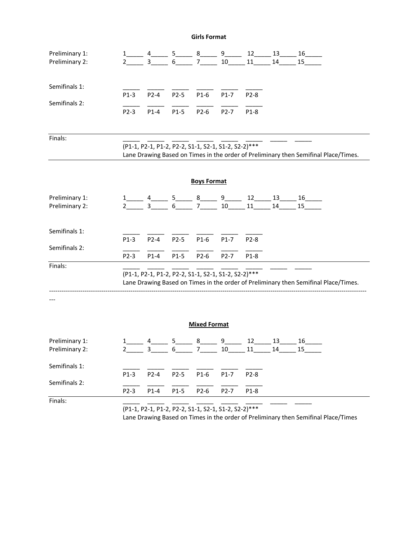**Girls Format** 

| Preliminary 1:<br>Preliminary 2: | 1<br>$\overline{2}$                                                                                                                                                                                           | 4<br>$\mathbf{3}$ | 6              | $5 \_ 8 \_ 9 \_ 9 \_ 1$<br>7 <sup>7</sup>           | 10                          | 11           | 14                          | $12 \t 13 \t 16$<br>15                                                              |  |  |  |
|----------------------------------|---------------------------------------------------------------------------------------------------------------------------------------------------------------------------------------------------------------|-------------------|----------------|-----------------------------------------------------|-----------------------------|--------------|-----------------------------|-------------------------------------------------------------------------------------|--|--|--|
| Semifinals 1:<br>Semifinals 2:   | $P1-3$<br>P2-3                                                                                                                                                                                                | $P2-4$<br>$P1-4$  | $P2-5$<br>P1-5 | $P1-6$<br>P2-6                                      | $P1-7$<br>P <sub>2</sub> -7 | P2-8<br>P1-8 |                             |                                                                                     |  |  |  |
| Finals:                          |                                                                                                                                                                                                               |                   |                | (P1-1, P2-1, P1-2, P2-2, S1-1, S2-1, S1-2, S2-2)*** |                             |              |                             | Lane Drawing Based on Times in the order of Preliminary then Semifinal Place/Times. |  |  |  |
|                                  |                                                                                                                                                                                                               |                   |                | <b>Boys Format</b>                                  |                             |              |                             |                                                                                     |  |  |  |
| Preliminary 1:<br>Preliminary 2: | $\mathbf{2}$                                                                                                                                                                                                  | 3 <sup>7</sup>    | 6 <sup>1</sup> | $5$ $8$ $9$ $10$<br>7 <sup>7</sup>                  | 10                          | 11           | $12 \qquad 13 \qquad$<br>14 | 16<br>15 <sub>1</sub>                                                               |  |  |  |
| Semifinals 1:<br>Semifinals 2:   | $P1-3$                                                                                                                                                                                                        | $P2-4$            | $P2-5$         | $P1-6$                                              | $P1-7$                      | P2-8         |                             |                                                                                     |  |  |  |
| Finals:                          | $P2-3$<br>$P1-4$<br>$P1-5$<br>P2-6<br>P <sub>2</sub> -7<br>P1-8<br>(P1-1, P2-1, P1-2, P2-2, S1-1, S2-1, S1-2, S2-2)***<br>Lane Drawing Based on Times in the order of Preliminary then Semifinal Place/Times. |                   |                |                                                     |                             |              |                             |                                                                                     |  |  |  |
|                                  |                                                                                                                                                                                                               |                   |                |                                                     |                             |              |                             |                                                                                     |  |  |  |
| <b>Mixed Format</b>              |                                                                                                                                                                                                               |                   |                |                                                     |                             |              |                             |                                                                                     |  |  |  |
| Preliminary 1:<br>Preliminary 2: | 1<br>$\overline{2}$                                                                                                                                                                                           | 4<br>3            | 5<br>6         | 8<br>7                                              | $9-$<br>10                  | 12<br>11     | 13<br>14                    | 16<br>15                                                                            |  |  |  |
| Semifinals 1:                    | $P1-3$                                                                                                                                                                                                        | P2-4              | P2-5           | $P1-6$                                              | $P1-7$                      | P2-8         |                             |                                                                                     |  |  |  |
| Semifinals 2:                    | P2-3                                                                                                                                                                                                          | $P1-4$            | $P1-5$         | $P2-6$                                              | P2-7                        | $P1-8$       |                             |                                                                                     |  |  |  |
| Finals:                          |                                                                                                                                                                                                               |                   |                |                                                     |                             |              |                             |                                                                                     |  |  |  |

(P1‐1, P2‐1, P1‐2, P2‐2, S1‐1, S2‐1, S1‐2, S2‐2)\*\*\*

Lane Drawing Based on Times in the order of Preliminary then Semifinal Place/Times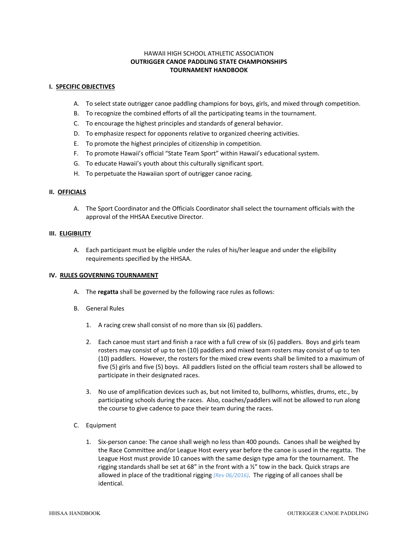# HAWAII HIGH SCHOOL ATHLETIC ASSOCIATION **OUTRIGGER CANOE PADDLING STATE CHAMPIONSHIPS TOURNAMENT HANDBOOK**

#### **I. SPECIFIC OBJECTIVES**

- A. To select state outrigger canoe paddling champions for boys, girls, and mixed through competition.
- B. To recognize the combined efforts of all the participating teams in the tournament.
- C. To encourage the highest principles and standards of general behavior.
- D. To emphasize respect for opponents relative to organized cheering activities.
- E. To promote the highest principles of citizenship in competition.
- F. To promote Hawaii's official "State Team Sport" within Hawaii's educational system.
- G. To educate Hawaii's youth about this culturally significant sport.
- H. To perpetuate the Hawaiian sport of outrigger canoe racing.

# **II. OFFICIALS**

A. The Sport Coordinator and the Officials Coordinator shall select the tournament officials with the approval of the HHSAA Executive Director.

# **III. ELIGIBILITY**

A. Each participant must be eligible under the rules of his/her league and under the eligibility requirements specified by the HHSAA.

#### **IV. RULES GOVERNING TOURNAMENT**

- A. The **regatta** shall be governed by the following race rules as follows:
- B. General Rules
	- 1. A racing crew shall consist of no more than six (6) paddlers.
	- 2. Each canoe must start and finish a race with a full crew of six (6) paddlers. Boys and girls team rosters may consist of up to ten (10) paddlers and mixed team rosters may consist of up to ten (10) paddlers. However, the rosters for the mixed crew events shall be limited to a maximum of five (5) girls and five (5) boys. All paddlers listed on the official team rosters shall be allowed to participate in their designated races.
	- 3. No use of amplification devices such as, but not limited to, bullhorns, whistles, drums, etc., by participating schools during the races. Also, coaches/paddlers will not be allowed to run along the course to give cadence to pace their team during the races.
- C. Equipment
	- 1. Six‐person canoe: The canoe shall weigh no less than 400 pounds. Canoes shall be weighed by the Race Committee and/or League Host every year before the canoe is used in the regatta. The League Host must provide 10 canoes with the same design type ama for the tournament. The rigging standards shall be set at 68" in the front with a ½" tow in the back. Quick straps are allowed in place of the traditional rigging *(Rev 06/2016)*. The rigging of all canoes shall be identical.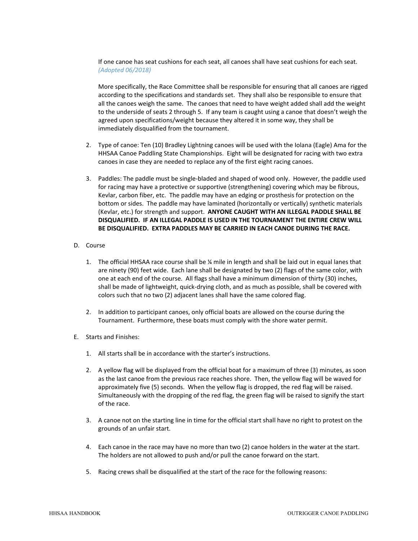If one canoe has seat cushions for each seat, all canoes shall have seat cushions for each seat. *(Adopted 06/2018)*

More specifically, the Race Committee shall be responsible for ensuring that all canoes are rigged according to the specifications and standards set. They shall also be responsible to ensure that all the canoes weigh the same. The canoes that need to have weight added shall add the weight to the underside of seats 2 through 5. If any team is caught using a canoe that doesn't weigh the agreed upon specifications/weight because they altered it in some way, they shall be immediately disqualified from the tournament.

- 2. Type of canoe: Ten (10) Bradley Lightning canoes will be used with the Iolana (Eagle) Ama for the HHSAA Canoe Paddling State Championships. Eight will be designated for racing with two extra canoes in case they are needed to replace any of the first eight racing canoes.
- 3. Paddles: The paddle must be single-bladed and shaped of wood only. However, the paddle used for racing may have a protective or supportive (strengthening) covering which may be fibrous, Kevlar, carbon fiber, etc. The paddle may have an edging or prosthesis for protection on the bottom or sides. The paddle may have laminated (horizontally or vertically) synthetic materials (Kevlar, etc.) for strength and support. **ANYONE CAUGHT WITH AN ILLEGAL PADDLE SHALL BE DISQUALIFIED. IF AN ILLEGAL PADDLE IS USED IN THE TOURNAMENT THE ENTIRE CREW WILL BE DISQUALIFIED. EXTRA PADDLES MAY BE CARRIED IN EACH CANOE DURING THE RACE.**
- D. Course
	- 1. The official HHSAA race course shall be ¼ mile in length and shall be laid out in equal lanes that are ninety (90) feet wide. Each lane shall be designated by two (2) flags of the same color, with one at each end of the course. All flags shall have a minimum dimension of thirty (30) inches, shall be made of lightweight, quick‐drying cloth, and as much as possible, shall be covered with colors such that no two (2) adjacent lanes shall have the same colored flag.
	- 2. In addition to participant canoes, only official boats are allowed on the course during the Tournament. Furthermore, these boats must comply with the shore water permit.
- E. Starts and Finishes:
	- 1. All starts shall be in accordance with the starter's instructions.
	- 2. A yellow flag will be displayed from the official boat for a maximum of three (3) minutes, as soon as the last canoe from the previous race reaches shore. Then, the yellow flag will be waved for approximately five (5) seconds. When the yellow flag is dropped, the red flag will be raised. Simultaneously with the dropping of the red flag, the green flag will be raised to signify the start of the race.
	- 3. A canoe not on the starting line in time for the official start shall have no right to protest on the grounds of an unfair start.
	- 4. Each canoe in the race may have no more than two (2) canoe holders in the water at the start. The holders are not allowed to push and/or pull the canoe forward on the start.
	- 5. Racing crews shall be disqualified at the start of the race for the following reasons: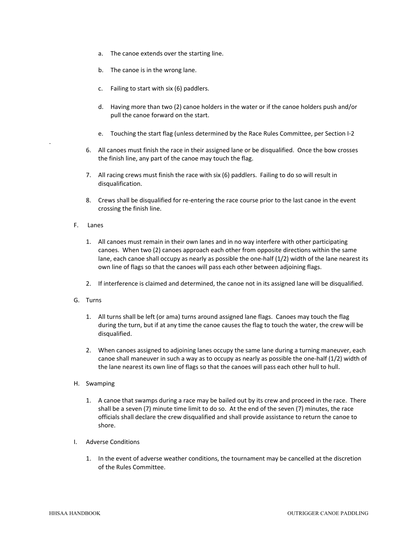- a. The canoe extends over the starting line.
- b. The canoe is in the wrong lane.
- c. Failing to start with six (6) paddlers.
- d. Having more than two (2) canoe holders in the water or if the canoe holders push and/or pull the canoe forward on the start.
- e. Touching the start flag (unless determined by the Race Rules Committee, per Section I‐2
- 6. All canoes must finish the race in their assigned lane or be disqualified. Once the bow crosses the finish line, any part of the canoe may touch the flag.
- 7. All racing crews must finish the race with six (6) paddlers. Failing to do so will result in disqualification.
- 8. Crews shall be disqualified for re-entering the race course prior to the last canoe in the event crossing the finish line.

#### F. Lanes

.

- 1. All canoes must remain in their own lanes and in no way interfere with other participating canoes. When two (2) canoes approach each other from opposite directions within the same lane, each canoe shall occupy as nearly as possible the one-half (1/2) width of the lane nearest its own line of flags so that the canoes will pass each other between adjoining flags.
- 2. If interference is claimed and determined, the canoe not in its assigned lane will be disqualified.
- G. Turns
	- 1. All turns shall be left (or ama) turns around assigned lane flags. Canoes may touch the flag during the turn, but if at any time the canoe causes the flag to touch the water, the crew will be disqualified.
	- 2. When canoes assigned to adjoining lanes occupy the same lane during a turning maneuver, each canoe shall maneuver in such a way as to occupy as nearly as possible the one‐half (1/2) width of the lane nearest its own line of flags so that the canoes will pass each other hull to hull.
- H. Swamping
	- 1. A canoe that swamps during a race may be bailed out by its crew and proceed in the race. There shall be a seven (7) minute time limit to do so. At the end of the seven (7) minutes, the race officials shall declare the crew disqualified and shall provide assistance to return the canoe to shore.
- I. Adverse Conditions
	- 1. In the event of adverse weather conditions, the tournament may be cancelled at the discretion of the Rules Committee.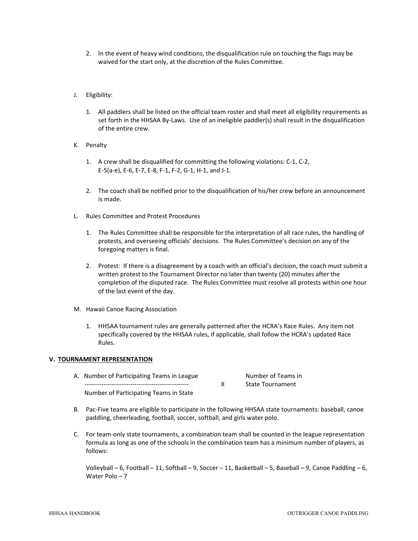- 2. In the event of heavy wind conditions, the disqualification rule on touching the flags may be waived for the start only, at the discretion of the Rules Committee.
- J. Eligibility:
	- 1. All paddlers shall be listed on the official team roster and shall meet all eligibility requirements as set forth in the HHSAA By-Laws. Use of an ineligible paddler(s) shall result in the disqualification of the entire crew.
- K. Penalty
	- 1. A crew shall be disqualified for committing the following violations: C‐1, C‐2, E‐5(a‐e), E‐6, E‐7, E‐8, F‐1, F‐2, G‐1, H‐1, and J‐1.
	- 2. The coach shall be notified prior to the disqualification of his/her crew before an announcement is made.
- L. Rules Committee and Protest Procedures
	- 1. The Rules Committee shall be responsible for the interpretation of all race rules, the handling of protests, and overseeing officials' decisions. The Rules Committee's decision on any of the foregoing matters is final.
	- 2. Protest: If there is a disagreement by a coach with an official's decision, the coach must submit a written protest to the Tournament Director no later than twenty (20) minutes after the completion of the disputed race. The Rules Committee must resolve all protests within one hour of the last event of the day.
- M. Hawaii Canoe Racing Association
	- 1. HHSAA tournament rules are generally patterned after the HCRA's Race Rules. Any item not specifically covered by the HHSAA rules, if applicable, shall follow the HCRA's updated Race Rules.

#### **V. TOURNAMENT REPRESENTATION**

- A. Number of Participating Teams in League Number of Teams in X State Tournament Number of Participating Teams in State
- B. Pac‐Five teams are eligible to participate in the following HHSAA state tournaments: baseball, canoe paddling, cheerleading, football, soccer, softball, and girls water polo.
- C. For team‐only state tournaments, a combination team shall be counted in the league representation formula as long as one of the schools in the combination team has a minimum number of players, as follows:

Volleyball – 6, Football – 11, Softball – 9, Soccer – 11, Basketball – 5, Baseball – 9, Canoe Paddling – 6, Water Polo – 7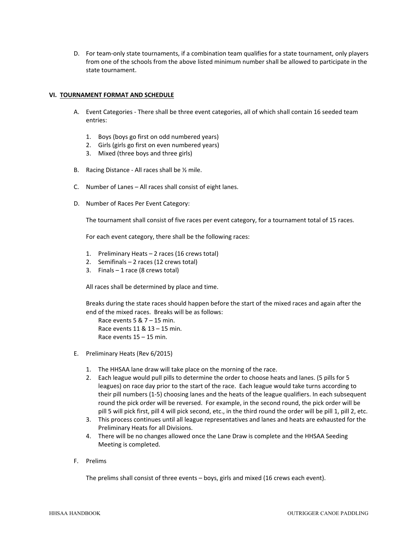D. For team‐only state tournaments, if a combination team qualifies for a state tournament, only players from one of the schools from the above listed minimum number shall be allowed to participate in the state tournament.

#### **VI. TOURNAMENT FORMAT AND SCHEDULE**

- A. Event Categories ‐ There shall be three event categories, all of which shall contain 16 seeded team entries:
	- 1. Boys (boys go first on odd numbered years)
	- 2. Girls (girls go first on even numbered years)
	- 3. Mixed (three boys and three girls)
- B. Racing Distance All races shall be 1/2 mile.
- C. Number of Lanes All races shall consist of eight lanes.
- D. Number of Races Per Event Category:

The tournament shall consist of five races per event category, for a tournament total of 15 races.

For each event category, there shall be the following races:

- 1. Preliminary Heats 2 races (16 crews total)
- 2. Semifinals 2 races (12 crews total)
- 3. Finals  $-1$  race (8 crews total)

All races shall be determined by place and time.

Breaks during the state races should happen before the start of the mixed races and again after the end of the mixed races. Breaks will be as follows:

Race events  $5 & 7 - 15$  min. Race events 11 & 13 – 15 min. Race events 15 – 15 min.

- E. Preliminary Heats (Rev 6/2015)
	- 1. The HHSAA lane draw will take place on the morning of the race.
	- 2. Each league would pull pills to determine the order to choose heats and lanes. (5 pills for 5 leagues) on race day prior to the start of the race. Each league would take turns according to their pill numbers (1‐5) choosing lanes and the heats of the league qualifiers. In each subsequent round the pick order will be reversed. For example, in the second round, the pick order will be pill 5 will pick first, pill 4 will pick second, etc., in the third round the order will be pill 1, pill 2, etc.
	- 3. This process continues until all league representatives and lanes and heats are exhausted for the Preliminary Heats for all Divisions.
	- 4. There will be no changes allowed once the Lane Draw is complete and the HHSAA Seeding Meeting is completed.
- F. Prelims

The prelims shall consist of three events – boys, girls and mixed (16 crews each event).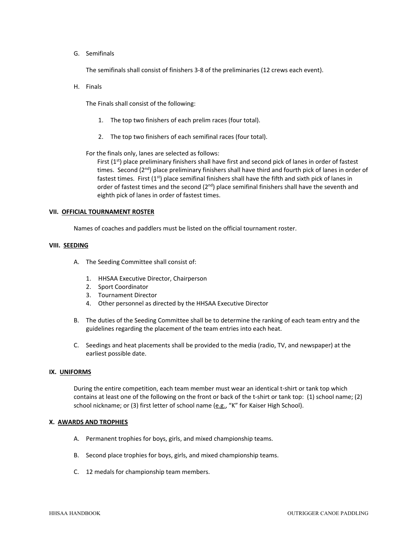G. Semifinals

The semifinals shall consist of finishers 3‐8 of the preliminaries (12 crews each event).

H. Finals

The Finals shall consist of the following:

- 1. The top two finishers of each prelim races (four total).
- 2. The top two finishers of each semifinal races (four total).

For the finals only, lanes are selected as follows:

First  $(1^{st})$  place preliminary finishers shall have first and second pick of lanes in order of fastest times. Second (2<sup>nd</sup>) place preliminary finishers shall have third and fourth pick of lanes in order of fastest times. First  $(1<sup>st</sup>)$  place semifinal finishers shall have the fifth and sixth pick of lanes in order of fastest times and the second  $(2<sup>nd</sup>)$  place semifinal finishers shall have the seventh and eighth pick of lanes in order of fastest times.

#### **VII. OFFICIAL TOURNAMENT ROSTER**

Names of coaches and paddlers must be listed on the official tournament roster.

#### **VIII. SEEDING**

- A. The Seeding Committee shall consist of:
	- 1. HHSAA Executive Director, Chairperson
	- 2. Sport Coordinator
	- 3. Tournament Director
	- 4. Other personnel as directed by the HHSAA Executive Director
- B. The duties of the Seeding Committee shall be to determine the ranking of each team entry and the guidelines regarding the placement of the team entries into each heat.
- C. Seedings and heat placements shall be provided to the media (radio, TV, and newspaper) at the earliest possible date.

#### **IX. UNIFORMS**

During the entire competition, each team member must wear an identical t‐shirt or tank top which contains at least one of the following on the front or back of the t‐shirt or tank top: (1) school name; (2) school nickname; or (3) first letter of school name (e.g., "K" for Kaiser High School).

#### **X. AWARDS AND TROPHIES**

- A. Permanent trophies for boys, girls, and mixed championship teams.
- B. Second place trophies for boys, girls, and mixed championship teams.
- C. 12 medals for championship team members.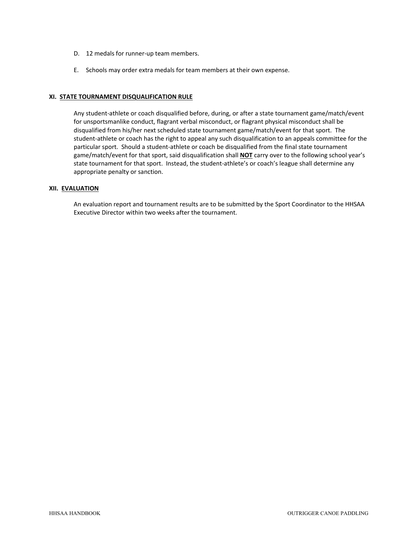- D. 12 medals for runner-up team members.
- E. Schools may order extra medals for team members at their own expense.

### **XI. STATE TOURNAMENT DISQUALIFICATION RULE**

Any student‐athlete or coach disqualified before, during, or after a state tournament game/match/event for unsportsmanlike conduct, flagrant verbal misconduct, or flagrant physical misconduct shall be disqualified from his/her next scheduled state tournament game/match/event for that sport. The student‐athlete or coach has the right to appeal any such disqualification to an appeals committee for the particular sport. Should a student-athlete or coach be disqualified from the final state tournament game/match/event for that sport, said disqualification shall **NOT** carry over to the following school year's state tournament for that sport. Instead, the student-athlete's or coach's league shall determine any appropriate penalty or sanction.

#### **XII. EVALUATION**

An evaluation report and tournament results are to be submitted by the Sport Coordinator to the HHSAA Executive Director within two weeks after the tournament.